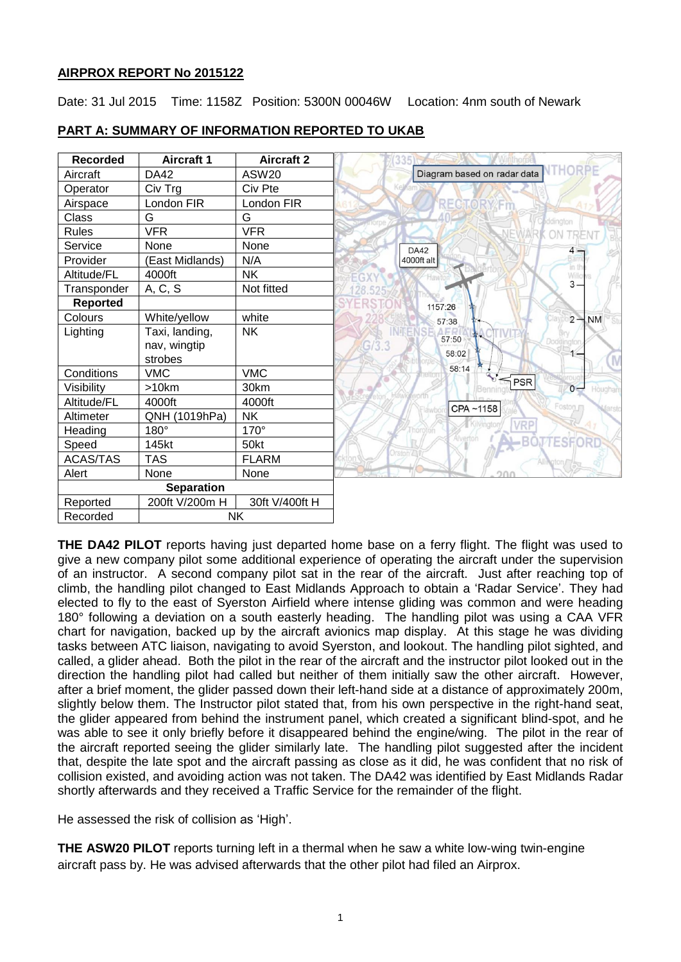# **AIRPROX REPORT No 2015122**

Date: 31 Jul 2015 Time: 1158Z Position: 5300N 00046W Location: 4nm south of Newark

| <b>Recorded</b> | <b>Aircraft 1</b> | <b>Aircraft 2</b> |
|-----------------|-------------------|-------------------|
| Aircraft        | <b>DA42</b>       | ASW20             |
| Operator        | Civ Trg           | Civ Pte           |
| Airspace        | London FIR        | London FIR        |
| Class           | G                 | G                 |
| <b>Rules</b>    | <b>VFR</b>        | <b>VFR</b>        |
| Service         | None              | None              |
| Provider        | (East Midlands)   | N/A               |
| Altitude/FL     | 4000ft            | <b>NK</b>         |
| Transponder     | A, C, S           | Not fitted        |
| <b>Reported</b> |                   |                   |
| Colours         | White/yellow      | white             |
| Lighting        | Taxi, landing,    | NK                |
|                 | nav, wingtip      |                   |
|                 | strobes           |                   |
| Conditions      | <b>VMC</b>        | <b>VMC</b>        |
| Visibility      | >10km             | 30km              |
| Altitude/FL     | 4000ft            | 4000ft            |
| Altimeter       | QNH (1019hPa)     | <b>NK</b>         |
| Heading         | 180°              | 170°              |
| Speed           | 145kt             | 50kt              |
| <b>ACAS/TAS</b> | <b>TAS</b>        | <b>FLARM</b>      |
| Alert           | None              | None              |
|                 | <b>Separation</b> |                   |
| Reported        | 200ft V/200m H    | 30ft V/400ft H    |
| Recorded        |                   | NΚ                |

# **PART A: SUMMARY OF INFORMATION REPORTED TO UKAB**

**THE DA42 PILOT** reports having just departed home base on a ferry flight. The flight was used to give a new company pilot some additional experience of operating the aircraft under the supervision of an instructor. A second company pilot sat in the rear of the aircraft. Just after reaching top of climb, the handling pilot changed to East Midlands Approach to obtain a 'Radar Service'. They had elected to fly to the east of Syerston Airfield where intense gliding was common and were heading 180° following a deviation on a south easterly heading. The handling pilot was using a CAA VFR chart for navigation, backed up by the aircraft avionics map display. At this stage he was dividing tasks between ATC liaison, navigating to avoid Syerston, and lookout. The handling pilot sighted, and called, a glider ahead. Both the pilot in the rear of the aircraft and the instructor pilot looked out in the direction the handling pilot had called but neither of them initially saw the other aircraft. However, after a brief moment, the glider passed down their left-hand side at a distance of approximately 200m, slightly below them. The Instructor pilot stated that, from his own perspective in the right-hand seat, the glider appeared from behind the instrument panel, which created a significant blind-spot, and he was able to see it only briefly before it disappeared behind the engine/wing. The pilot in the rear of the aircraft reported seeing the glider similarly late. The handling pilot suggested after the incident that, despite the late spot and the aircraft passing as close as it did, he was confident that no risk of collision existed, and avoiding action was not taken. The DA42 was identified by East Midlands Radar shortly afterwards and they received a Traffic Service for the remainder of the flight.

He assessed the risk of collision as 'High'.

**THE ASW20 PILOT** reports turning left in a thermal when he saw a white low-wing twin-engine aircraft pass by. He was advised afterwards that the other pilot had filed an Airprox.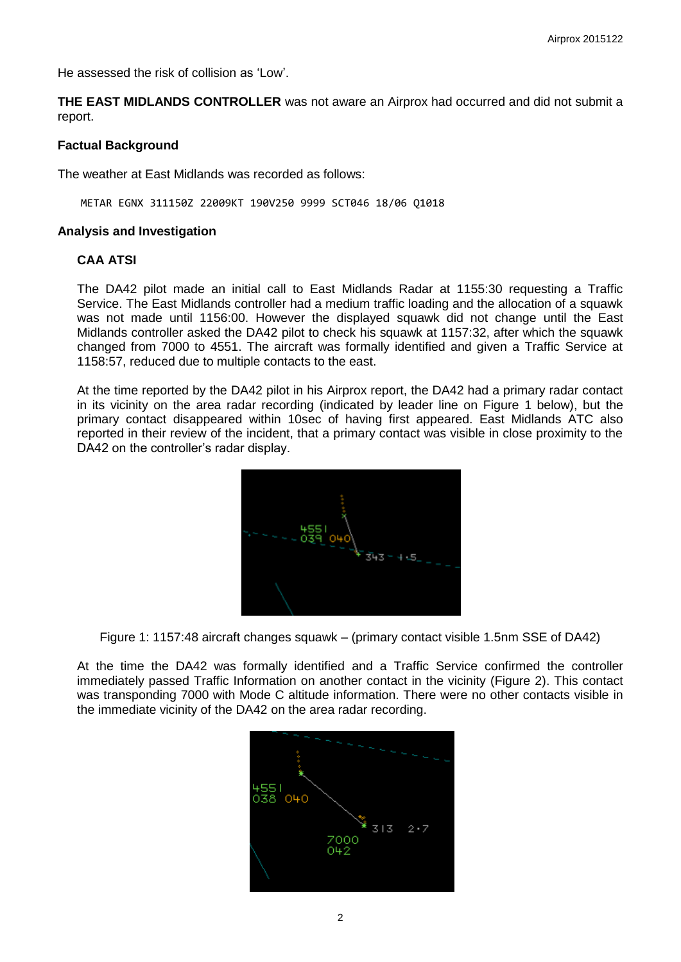He assessed the risk of collision as 'Low'.

**THE EAST MIDLANDS CONTROLLER** was not aware an Airprox had occurred and did not submit a report.

## **Factual Background**

The weather at East Midlands was recorded as follows:

METAR EGNX 311150Z 22009KT 190V250 9999 SCT046 18/06 Q1018

### **Analysis and Investigation**

## **CAA ATSI**

The DA42 pilot made an initial call to East Midlands Radar at 1155:30 requesting a Traffic Service. The East Midlands controller had a medium traffic loading and the allocation of a squawk was not made until 1156:00. However the displayed squawk did not change until the East Midlands controller asked the DA42 pilot to check his squawk at 1157:32, after which the squawk changed from 7000 to 4551. The aircraft was formally identified and given a Traffic Service at 1158:57, reduced due to multiple contacts to the east.

At the time reported by the DA42 pilot in his Airprox report, the DA42 had a primary radar contact in its vicinity on the area radar recording (indicated by leader line on Figure 1 below), but the primary contact disappeared within 10sec of having first appeared. East Midlands ATC also reported in their review of the incident, that a primary contact was visible in close proximity to the DA42 on the controller's radar display.



Figure 1: 1157:48 aircraft changes squawk – (primary contact visible 1.5nm SSE of DA42)

At the time the DA42 was formally identified and a Traffic Service confirmed the controller immediately passed Traffic Information on another contact in the vicinity (Figure 2). This contact was transponding 7000 with Mode C altitude information. There were no other contacts visible in the immediate vicinity of the DA42 on the area radar recording.